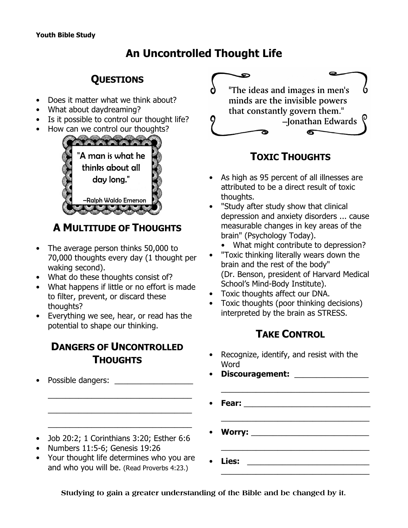# **An Uncontrolled Thought Life**

## **QUESTIONS**

- Does it matter what we think about?
- What about daydreaming?
- Is it possible to control our thought life?
- How can we control our thoughts?



# **A MULTITUDE OF THOUGHTS**

- The average person thinks 50,000 to 70,000 thoughts every day (1 thought per waking second).
- What do these thoughts consist of?
- What happens if little or no effort is made to filter, prevent, or discard these thoughts?
- Everything we see, hear, or read has the potential to shape our thinking.

### **DANGERS OF UNCONTROLLED THOUGHTS**

 $\bullet$ "The ideas and images in men's minds are the invisible powers that constantly govern them." -Jonathan Edwards 6

# **TOXIC THOUGHTS**

- As high as 95 percent of all illnesses are attributed to be a direct result of toxic thoughts.
- "Study after study show that clinical depression and anxiety disorders ... cause measurable changes in key areas of the brain" (*Psychology Today*).
	- What might contribute to depression?
- "Toxic thinking literally wears down the brain and the rest of the body" (Dr. Benson, president of Harvard Medical School's Mind-Body Institute).
- Toxic thoughts affect our DNA.
- Toxic thoughts (poor thinking decisions) interpreted by the brain as STRESS.

## **TAKE CONTROL**

\_\_\_\_\_\_\_\_\_\_\_\_\_\_\_\_\_\_\_\_\_\_\_\_\_\_\_\_\_\_\_\_\_\_

Recognize, identify, and resist with the Word

| • Possible dangers:                                                                                                         | Discouragement: ________________ |  |
|-----------------------------------------------------------------------------------------------------------------------------|----------------------------------|--|
|                                                                                                                             |                                  |  |
| • Job 20:2; 1 Corinthians 3:20; Esther 6:6                                                                                  |                                  |  |
| • Numbers 11:5-6; Genesis 19:26<br>• Your thought life determines who you are<br>and who you will be. (Read Proverbs 4:23.) | Lies:                            |  |

**Studying to gain a greater understanding of the Bible and be changed by it.**